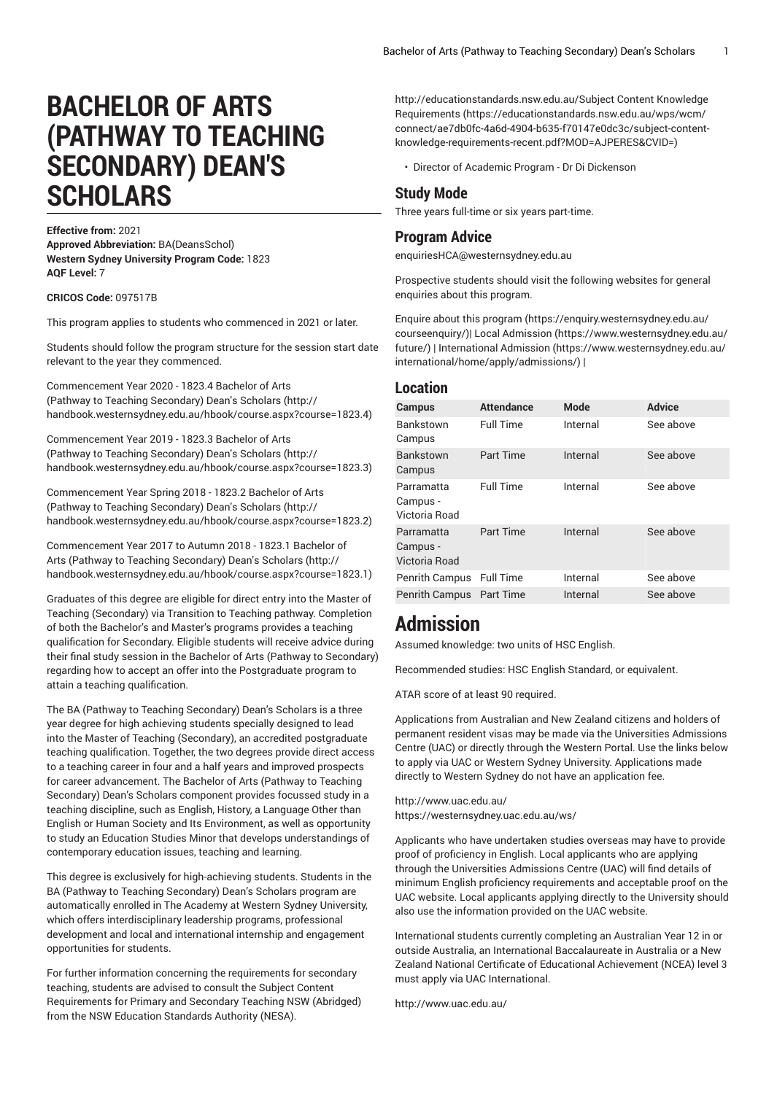# **BACHELOR OF ARTS (PATHWAY TO TEACHING SECONDARY) DEAN'S SCHOLARS**

**Effective from:** 2021

**Approved Abbreviation:** BA(DeansSchol) **Western Sydney University Program Code:** 1823 **AQF Level:** 7

**CRICOS Code:** 097517B

This program applies to students who commenced in 2021 or later.

Students should follow the program structure for the session start date relevant to the year they commenced.

[Commencement](http://handbook.westernsydney.edu.au/hbook/course.aspx?course=1823.4) Year 2020 - 1823.4 Bachelor of Arts (Pathway to Teaching [Secondary\)](http://handbook.westernsydney.edu.au/hbook/course.aspx?course=1823.4) Dean's Scholars [\(http://](http://handbook.westernsydney.edu.au/hbook/course.aspx?course=1823.4) [handbook.westernsydney.edu.au/hbook/course.aspx?course=1823.4\)](http://handbook.westernsydney.edu.au/hbook/course.aspx?course=1823.4)

[Commencement](http://handbook.westernsydney.edu.au/hbook/course.aspx?course=1823.3) Year 2019 - 1823.3 Bachelor of Arts (Pathway to Teaching [Secondary\)](http://handbook.westernsydney.edu.au/hbook/course.aspx?course=1823.3) Dean's Scholars [\(http://](http://handbook.westernsydney.edu.au/hbook/course.aspx?course=1823.3) [handbook.westernsydney.edu.au/hbook/course.aspx?course=1823.3\)](http://handbook.westernsydney.edu.au/hbook/course.aspx?course=1823.3)

[Commencement](http://handbook.westernsydney.edu.au/hbook/course.aspx?course=1823.2) Year Spring 2018 - 1823.2 Bachelor of Arts (Pathway to Teaching [Secondary\)](http://handbook.westernsydney.edu.au/hbook/course.aspx?course=1823.2) Dean's Scholars [\(http://](http://handbook.westernsydney.edu.au/hbook/course.aspx?course=1823.2) [handbook.westernsydney.edu.au/hbook/course.aspx?course=1823.2\)](http://handbook.westernsydney.edu.au/hbook/course.aspx?course=1823.2)

[Commencement](http://handbook.westernsydney.edu.au/hbook/course.aspx?course=1823.1) Year 2017 to Autumn 2018 - 1823.1 Bachelor of Arts (Pathway to Teaching [Secondary\)](http://handbook.westernsydney.edu.au/hbook/course.aspx?course=1823.1) Dean's Scholars ([http://](http://handbook.westernsydney.edu.au/hbook/course.aspx?course=1823.1) [handbook.westernsydney.edu.au/hbook/course.aspx?course=1823.1\)](http://handbook.westernsydney.edu.au/hbook/course.aspx?course=1823.1)

Graduates of this degree are eligible for direct entry into the Master of Teaching (Secondary) via Transition to Teaching pathway. Completion of both the Bachelor's and Master's programs provides a teaching qualification for Secondary. Eligible students will receive advice during their final study session in the Bachelor of Arts (Pathway to Secondary) regarding how to accept an offer into the Postgraduate program to attain a teaching qualification.

The BA (Pathway to Teaching Secondary) Dean's Scholars is a three year degree for high achieving students specially designed to lead into the Master of Teaching (Secondary), an accredited postgraduate teaching qualification. Together, the two degrees provide direct access to a teaching career in four and a half years and improved prospects for career advancement. The Bachelor of Arts (Pathway to Teaching Secondary) Dean's Scholars component provides focussed study in a teaching discipline, such as English, History, a Language Other than English or Human Society and Its Environment, as well as opportunity to study an Education Studies Minor that develops understandings of contemporary education issues, teaching and learning.

This degree is exclusively for high-achieving students. Students in the BA (Pathway to Teaching Secondary) Dean's Scholars program are automatically enrolled in The Academy at Western Sydney University, which offers interdisciplinary leadership programs, professional development and local and international internship and engagement opportunities for students.

For further information concerning the requirements for secondary teaching, students are advised to consult the Subject Content Requirements for Primary and Secondary Teaching NSW (Abridged) from the NSW Education Standards Authority (NESA).

[http://educationstandards.nsw.edu.au/Subject](https://educationstandards.nsw.edu.au/wps/wcm/connect/ae7db0fc-4a6d-4904-b635-f70147e0dc3c/subject-content-knowledge-requirements-recent.pdf?MOD=AJPERES&CVID=) Content Knowledge [Requirements](https://educationstandards.nsw.edu.au/wps/wcm/connect/ae7db0fc-4a6d-4904-b635-f70147e0dc3c/subject-content-knowledge-requirements-recent.pdf?MOD=AJPERES&CVID=) [\(https://educationstandards.nsw.edu.au/wps/wcm/](https://educationstandards.nsw.edu.au/wps/wcm/connect/ae7db0fc-4a6d-4904-b635-f70147e0dc3c/subject-content-knowledge-requirements-recent.pdf?MOD=AJPERES&CVID=) [connect/ae7db0fc-4a6d-4904-b635-f70147e0dc3c/subject-content](https://educationstandards.nsw.edu.au/wps/wcm/connect/ae7db0fc-4a6d-4904-b635-f70147e0dc3c/subject-content-knowledge-requirements-recent.pdf?MOD=AJPERES&CVID=)[knowledge-requirements-recent.pdf?MOD=AJPERES&CVID=](https://educationstandards.nsw.edu.au/wps/wcm/connect/ae7db0fc-4a6d-4904-b635-f70147e0dc3c/subject-content-knowledge-requirements-recent.pdf?MOD=AJPERES&CVID=))

• Director of Academic Program - Dr Di Dickenson

### **Study Mode**

Three years full-time or six years part-time.

### **Program Advice**

[enquiriesHCA@westernsydney.edu.au](mailto:enquiriesHCA@westernsydney.edu.au)

Prospective students should visit the following websites for general enquiries about this program.

Enquire about this [program](https://enquiry.westernsydney.edu.au/courseenquiry/) ([https://enquiry.westernsydney.edu.au/](https://enquiry.westernsydney.edu.au/courseenquiry/) [courseenquiry/\)](https://enquiry.westernsydney.edu.au/courseenquiry/)| [Local Admission](https://www.westernsydney.edu.au/future/) ([https://www.westernsydney.edu.au/](https://www.westernsydney.edu.au/future/) [future/](https://www.westernsydney.edu.au/future/)) | [International Admission \(https://www.westernsydney.edu.au/](https://www.westernsydney.edu.au/international/home/apply/admissions/) [international/home/apply/admissions/](https://www.westernsydney.edu.au/international/home/apply/admissions/)) |

## **Location**

| <b>Campus</b>                           | <b>Attendance</b> | <b>Mode</b> | <b>Advice</b> |
|-----------------------------------------|-------------------|-------------|---------------|
| Bankstown<br>Campus                     | <b>Full Time</b>  | Internal    | See above     |
| <b>Bankstown</b><br>Campus              | <b>Part Time</b>  | Internal    | See above     |
| Parramatta<br>Campus -<br>Victoria Road | <b>Full Time</b>  | Internal    | See above     |
| Parramatta<br>Campus -<br>Victoria Road | <b>Part Time</b>  | Internal    | See above     |
| Penrith Campus                          | <b>Full Time</b>  | Internal    | See above     |
| Penrith Campus                          | <b>Part Time</b>  | Internal    | See above     |

## **Admission**

Assumed knowledge: two units of HSC English.

Recommended studies: HSC English Standard, or equivalent.

ATAR score of at least 90 required.

Applications from Australian and New Zealand citizens and holders of permanent resident visas may be made via the Universities Admissions Centre (UAC) or directly through the Western Portal. Use the links below to apply via UAC or Western Sydney University. Applications made directly to Western Sydney do not have an application fee.

<http://www.uac.edu.au/> <https://westernsydney.uac.edu.au/ws/>

Applicants who have undertaken studies overseas may have to provide proof of proficiency in English. Local applicants who are applying through the Universities Admissions Centre (UAC) will find details of minimum English proficiency requirements and acceptable proof on the UAC website. Local applicants applying directly to the University should also use the information provided on the UAC website.

International students currently completing an Australian Year 12 in or outside Australia, an International Baccalaureate in Australia or a New Zealand National Certificate of Educational Achievement (NCEA) level 3 must apply via UAC International.

<http://www.uac.edu.au/>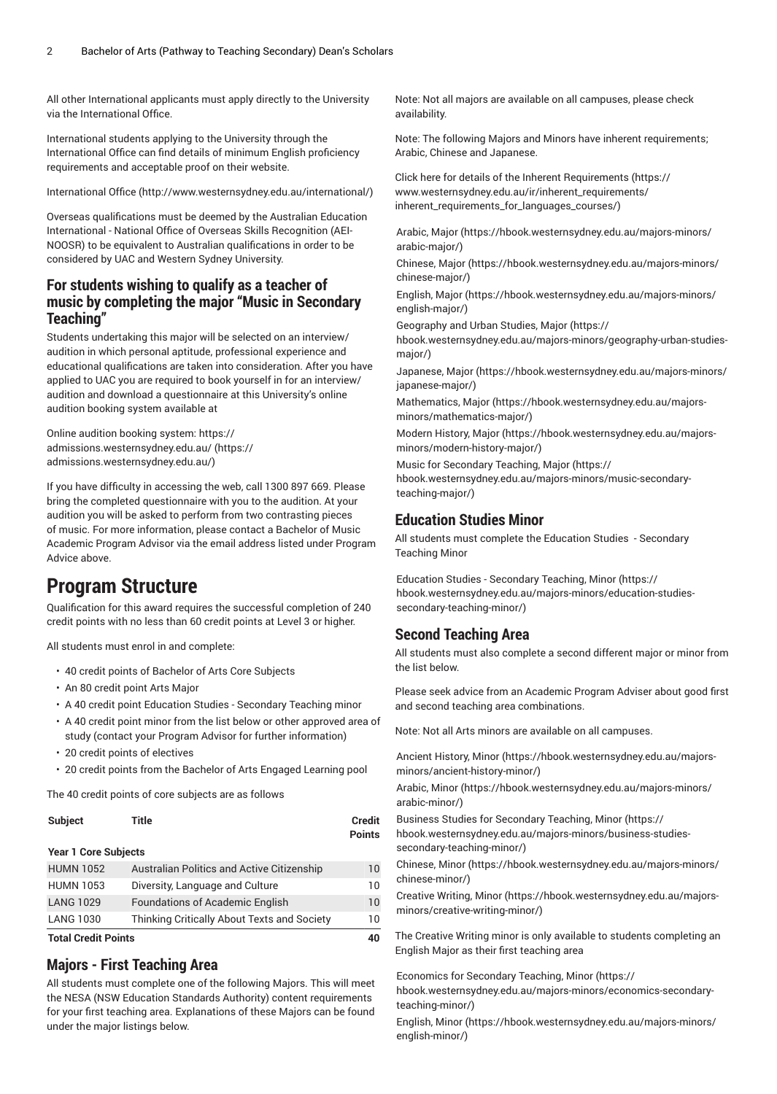All other International applicants must apply directly to the University via the International Office.

International students applying to the University through the International Office can find details of minimum English proficiency requirements and acceptable proof on their website.

[International Office \(http://www.westernsydney.edu.au/international/\)](http://www.westernsydney.edu.au/international/)

Overseas qualifications must be deemed by the Australian Education International - National Office of Overseas Skills Recognition (AEI-NOOSR) to be equivalent to Australian qualifications in order to be considered by UAC and Western Sydney University.

## **For students wishing to qualify as a teacher of music by completing the major "Music in Secondary Teaching"**

Students undertaking this major will be selected on an interview/ audition in which personal aptitude, professional experience and educational qualifications are taken into consideration. After you have applied to UAC you are required to book yourself in for an interview/ audition and download a questionnaire at this University's online audition booking system available at

[Online audition booking system: https://](https://admissions.westernsydney.edu.au/) [admissions.westernsydney.edu.au/](https://admissions.westernsydney.edu.au/) ([https://](https://admissions.westernsydney.edu.au/) [admissions.westernsydney.edu.au/](https://admissions.westernsydney.edu.au/))

If you have difficulty in accessing the web, call 1300 897 669. Please bring the completed questionnaire with you to the audition. At your audition you will be asked to perform from two contrasting pieces of music. For more information, please contact a Bachelor of Music Academic Program Advisor via the email address listed under Program Advice above.

## **Program Structure**

Qualification for this award requires the successful completion of 240 credit points with no less than 60 credit points at Level 3 or higher.

All students must enrol in and complete:

- 40 credit points of Bachelor of Arts Core Subjects
- An 80 credit point Arts Major
- A 40 credit point Education Studies Secondary Teaching minor

• A 40 credit point minor from the list below or other approved area of study (contact your Program Advisor for further information)

- 20 credit points of electives
- 20 credit points from the Bachelor of Arts Engaged Learning pool

The 40 credit points of core subjects are as follows

| <b>Subject</b>              | Title                                       | Credit<br><b>Points</b> |
|-----------------------------|---------------------------------------------|-------------------------|
| <b>Year 1 Core Subjects</b> |                                             |                         |
| <b>HUMN 1052</b>            | Australian Politics and Active Citizenship  | 10                      |
| <b>HUMN 1053</b>            | Diversity, Language and Culture             | 10                      |
| <b>LANG 1029</b>            | <b>Foundations of Academic English</b>      | 10                      |
| <b>LANG 1030</b>            | Thinking Critically About Texts and Society | 10                      |

**Total Credit Points 40**

## **Majors - First Teaching Area**

All students must complete one of the following Majors. This will meet the NESA (NSW Education Standards Authority) content requirements for your first teaching area. Explanations of these Majors can be found under the major listings below.

Note: Not all majors are available on all campuses, please check availability.

Note: The following Majors and Minors have inherent requirements; Arabic, Chinese and Japanese.

Click here for details of the Inherent [Requirements](https://www.westernsydney.edu.au/ir/inherent_requirements/inherent_requirements_for_languages_courses/) ([https://](https://www.westernsydney.edu.au/ir/inherent_requirements/inherent_requirements_for_languages_courses/) [www.westernsydney.edu.au/ir/inherent\\_requirements/](https://www.westernsydney.edu.au/ir/inherent_requirements/inherent_requirements_for_languages_courses/) [inherent\\_requirements\\_for\\_languages\\_courses/](https://www.westernsydney.edu.au/ir/inherent_requirements/inherent_requirements_for_languages_courses/))

[Arabic, Major \(https://hbook.westernsydney.edu.au/majors-minors/](https://hbook.westernsydney.edu.au/majors-minors/arabic-major/) [arabic-major/\)](https://hbook.westernsydney.edu.au/majors-minors/arabic-major/)

[Chinese, Major](https://hbook.westernsydney.edu.au/majors-minors/chinese-major/) ([https://hbook.westernsydney.edu.au/majors-minors/](https://hbook.westernsydney.edu.au/majors-minors/chinese-major/) [chinese-major/](https://hbook.westernsydney.edu.au/majors-minors/chinese-major/))

[English, Major](https://hbook.westernsydney.edu.au/majors-minors/english-major/) ([https://hbook.westernsydney.edu.au/majors-minors/](https://hbook.westernsydney.edu.au/majors-minors/english-major/) [english-major/](https://hbook.westernsydney.edu.au/majors-minors/english-major/))

[Geography and Urban Studies, Major \(https://](https://hbook.westernsydney.edu.au/majors-minors/geography-urban-studies-major/)

[hbook.westernsydney.edu.au/majors-minors/geography-urban-studies](https://hbook.westernsydney.edu.au/majors-minors/geography-urban-studies-major/)[major/](https://hbook.westernsydney.edu.au/majors-minors/geography-urban-studies-major/))

[Japanese, Major](https://hbook.westernsydney.edu.au/majors-minors/japanese-major/) [\(https://hbook.westernsydney.edu.au/majors-minors/](https://hbook.westernsydney.edu.au/majors-minors/japanese-major/) [japanese-major/\)](https://hbook.westernsydney.edu.au/majors-minors/japanese-major/)

[Mathematics, Major](https://hbook.westernsydney.edu.au/majors-minors/mathematics-major/) ([https://hbook.westernsydney.edu.au/majors](https://hbook.westernsydney.edu.au/majors-minors/mathematics-major/)[minors/mathematics-major/](https://hbook.westernsydney.edu.au/majors-minors/mathematics-major/))

[Modern](https://hbook.westernsydney.edu.au/majors-minors/modern-history-major/) History, Major [\(https://hbook.westernsydney.edu.au/majors](https://hbook.westernsydney.edu.au/majors-minors/modern-history-major/)[minors/modern-history-major/](https://hbook.westernsydney.edu.au/majors-minors/modern-history-major/))

Music for [Secondary](https://hbook.westernsydney.edu.au/majors-minors/music-secondary-teaching-major/) Teaching, Major [\(https://](https://hbook.westernsydney.edu.au/majors-minors/music-secondary-teaching-major/) [hbook.westernsydney.edu.au/majors-minors/music-secondary](https://hbook.westernsydney.edu.au/majors-minors/music-secondary-teaching-major/)[teaching-major/\)](https://hbook.westernsydney.edu.au/majors-minors/music-secondary-teaching-major/)

### **Education Studies Minor**

All students must complete the Education Studies - Secondary Teaching Minor

Education Studies - [Secondary](https://hbook.westernsydney.edu.au/majors-minors/education-studies-secondary-teaching-minor/) Teaching, Minor ([https://](https://hbook.westernsydney.edu.au/majors-minors/education-studies-secondary-teaching-minor/) [hbook.westernsydney.edu.au/majors-minors/education-studies](https://hbook.westernsydney.edu.au/majors-minors/education-studies-secondary-teaching-minor/)[secondary-teaching-minor/](https://hbook.westernsydney.edu.au/majors-minors/education-studies-secondary-teaching-minor/))

## **Second Teaching Area**

All students must also complete a second different major or minor from the list below.

Please seek advice from an Academic Program Adviser about good first and second teaching area combinations.

Note: Not all Arts minors are available on all campuses.

[Ancient](https://hbook.westernsydney.edu.au/majors-minors/ancient-history-minor/) History, Minor [\(https://hbook.westernsydney.edu.au/majors](https://hbook.westernsydney.edu.au/majors-minors/ancient-history-minor/)[minors/ancient-history-minor/\)](https://hbook.westernsydney.edu.au/majors-minors/ancient-history-minor/)

[Arabic, Minor \(https://hbook.westernsydney.edu.au/majors-minors/](https://hbook.westernsydney.edu.au/majors-minors/arabic-minor/) [arabic-minor/\)](https://hbook.westernsydney.edu.au/majors-minors/arabic-minor/)

Business Studies for [Secondary](https://hbook.westernsydney.edu.au/majors-minors/business-studies-secondary-teaching-minor/) Teaching, Minor ([https://](https://hbook.westernsydney.edu.au/majors-minors/business-studies-secondary-teaching-minor/) [hbook.westernsydney.edu.au/majors-minors/business-studies](https://hbook.westernsydney.edu.au/majors-minors/business-studies-secondary-teaching-minor/)[secondary-teaching-minor/](https://hbook.westernsydney.edu.au/majors-minors/business-studies-secondary-teaching-minor/))

[Chinese, Minor](https://hbook.westernsydney.edu.au/majors-minors/chinese-minor/) [\(https://hbook.westernsydney.edu.au/majors-minors/](https://hbook.westernsydney.edu.au/majors-minors/chinese-minor/) [chinese-minor/](https://hbook.westernsydney.edu.au/majors-minors/chinese-minor/))

[Creative](https://hbook.westernsydney.edu.au/majors-minors/creative-writing-minor/) Writing, Minor [\(https://hbook.westernsydney.edu.au/majors](https://hbook.westernsydney.edu.au/majors-minors/creative-writing-minor/)[minors/creative-writing-minor/](https://hbook.westernsydney.edu.au/majors-minors/creative-writing-minor/))

The Creative Writing minor is only available to students completing an English Major as their first teaching area

[Economics](https://hbook.westernsydney.edu.au/majors-minors/economics-secondary-teaching-minor/) for Secondary Teaching, Minor [\(https://](https://hbook.westernsydney.edu.au/majors-minors/economics-secondary-teaching-minor/) [hbook.westernsydney.edu.au/majors-minors/economics-secondary](https://hbook.westernsydney.edu.au/majors-minors/economics-secondary-teaching-minor/)[teaching-minor/\)](https://hbook.westernsydney.edu.au/majors-minors/economics-secondary-teaching-minor/)

[English, Minor](https://hbook.westernsydney.edu.au/majors-minors/english-minor/) ([https://hbook.westernsydney.edu.au/majors-minors/](https://hbook.westernsydney.edu.au/majors-minors/english-minor/) [english-minor/\)](https://hbook.westernsydney.edu.au/majors-minors/english-minor/)